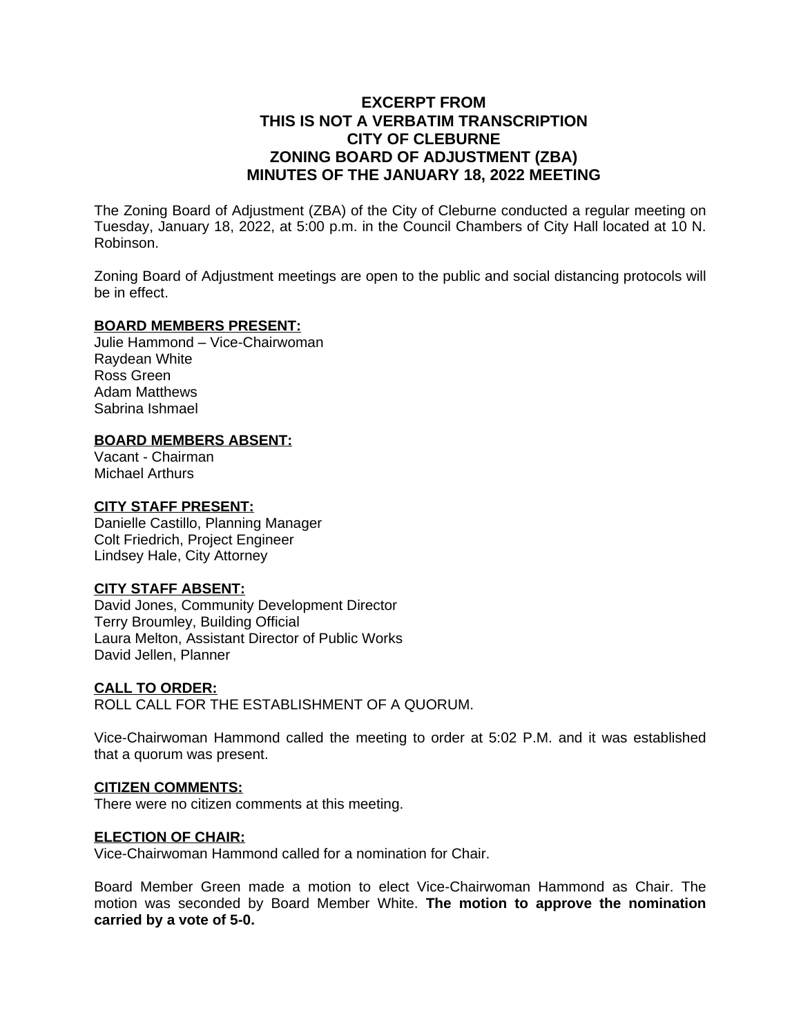# **EXCERPT FROM THIS IS NOT A VERBATIM TRANSCRIPTION CITY OF CLEBURNE ZONING BOARD OF ADJUSTMENT (ZBA) MINUTES OF THE JANUARY 18, 2022 MEETING**

The Zoning Board of Adjustment (ZBA) of the City of Cleburne conducted a regular meeting on Tuesday, January 18, 2022, at 5:00 p.m. in the Council Chambers of City Hall located at 10 N. Robinson.

Zoning Board of Adjustment meetings are open to the public and social distancing protocols will be in effect.

#### **BOARD MEMBERS PRESENT:**

Julie Hammond – Vice-Chairwoman Raydean White Ross Green Adam Matthews Sabrina Ishmael

# **BOARD MEMBERS ABSENT:**

Vacant - Chairman Michael Arthurs

## **CITY STAFF PRESENT:**

Danielle Castillo, Planning Manager Colt Friedrich, Project Engineer Lindsey Hale, City Attorney

## **CITY STAFF ABSENT:**

David Jones, Community Development Director Terry Broumley, Building Official Laura Melton, Assistant Director of Public Works David Jellen, Planner

## **CALL TO ORDER:**

ROLL CALL FOR THE ESTABLISHMENT OF A QUORUM.

Vice-Chairwoman Hammond called the meeting to order at 5:02 P.M. and it was established that a quorum was present.

## **CITIZEN COMMENTS:**

There were no citizen comments at this meeting.

#### **ELECTION OF CHAIR:**

Vice-Chairwoman Hammond called for a nomination for Chair.

Board Member Green made a motion to elect Vice-Chairwoman Hammond as Chair. The motion was seconded by Board Member White. **The motion to approve the nomination carried by a vote of 5-0.**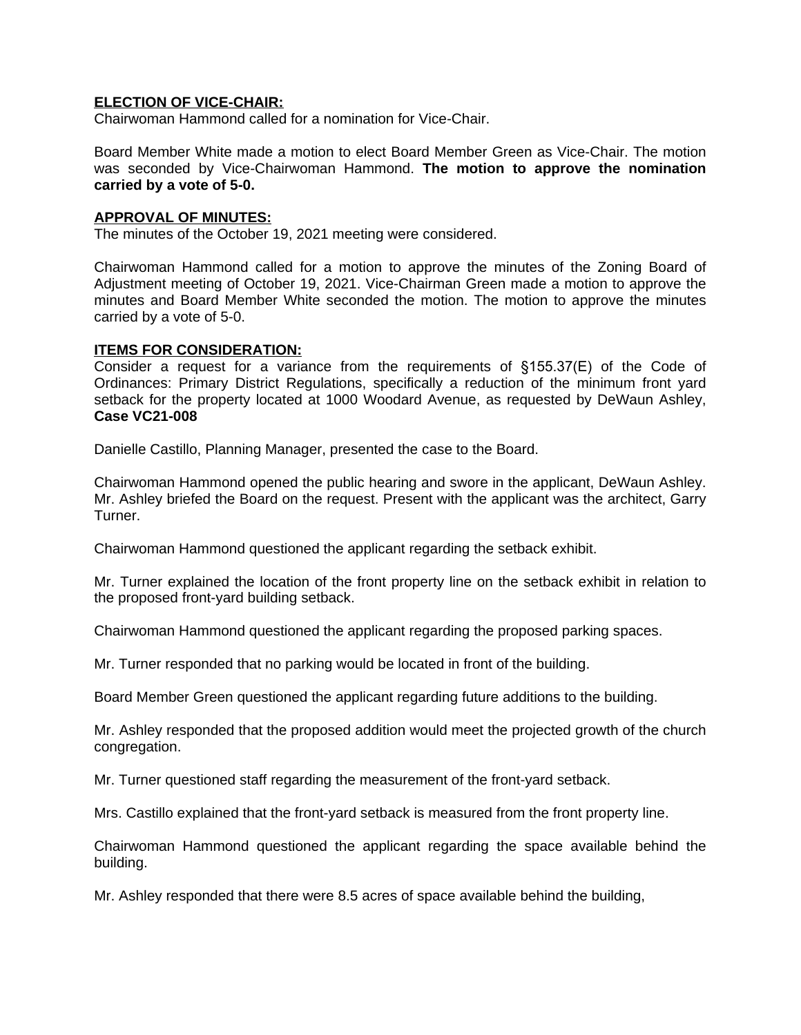#### **ELECTION OF VICE-CHAIR:**

Chairwoman Hammond called for a nomination for Vice-Chair.

Board Member White made a motion to elect Board Member Green as Vice-Chair. The motion was seconded by Vice-Chairwoman Hammond. **The motion to approve the nomination carried by a vote of 5-0.**

#### **APPROVAL OF MINUTES:**

The minutes of the October 19, 2021 meeting were considered.

Chairwoman Hammond called for a motion to approve the minutes of the Zoning Board of Adjustment meeting of October 19, 2021. Vice-Chairman Green made a motion to approve the minutes and Board Member White seconded the motion. The motion to approve the minutes carried by a vote of 5-0.

#### **ITEMS FOR CONSIDERATION:**

Consider a request for a variance from the requirements of §155.37(E) of the Code of Ordinances: Primary District Regulations, specifically a reduction of the minimum front yard setback for the property located at 1000 Woodard Avenue, as requested by DeWaun Ashley, **Case VC21-008**

Danielle Castillo, Planning Manager, presented the case to the Board.

Chairwoman Hammond opened the public hearing and swore in the applicant, DeWaun Ashley. Mr. Ashley briefed the Board on the request. Present with the applicant was the architect, Garry Turner.

Chairwoman Hammond questioned the applicant regarding the setback exhibit.

Mr. Turner explained the location of the front property line on the setback exhibit in relation to the proposed front-yard building setback.

Chairwoman Hammond questioned the applicant regarding the proposed parking spaces.

Mr. Turner responded that no parking would be located in front of the building.

Board Member Green questioned the applicant regarding future additions to the building.

Mr. Ashley responded that the proposed addition would meet the projected growth of the church congregation.

Mr. Turner questioned staff regarding the measurement of the front-yard setback.

Mrs. Castillo explained that the front-yard setback is measured from the front property line.

Chairwoman Hammond questioned the applicant regarding the space available behind the building.

Mr. Ashley responded that there were 8.5 acres of space available behind the building,